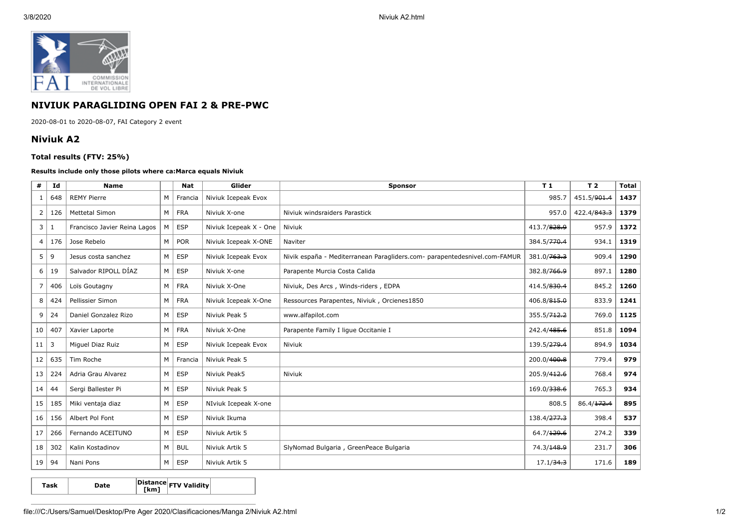

## **NIVIUK PARAGLIDING OPEN FAI 2 & PRE-PWC**

2020-08-01 to 2020-08-07, FAI Category 2 event

## **Niviuk A2**

## **Total results (FTV: 25%)**

## **Results include only those pilots where ca:Marca equals Niviuk**

| #              | Id  | <b>Name</b>                  |   | <b>Nat</b> | Glider                 | <b>Sponsor</b>                                                            | T1                      | T <sub>2</sub> | <b>Total</b> |
|----------------|-----|------------------------------|---|------------|------------------------|---------------------------------------------------------------------------|-------------------------|----------------|--------------|
| -1             | 648 | <b>REMY Pierre</b>           | M | Francia    | Niviuk Icepeak Evox    |                                                                           | 985.7                   | 451.5/901.4    | 1437         |
| 2              | 126 | <b>Mettetal Simon</b>        | M | FRA        | Niviuk X-one           | Niviuk windsraiders Parastick                                             | 957.0                   | 422.4/843.3    | 1379         |
| 3              | 1   | Francisco Javier Reina Lagos | M | <b>ESP</b> | Niviuk Icepeak X - One | Niviuk                                                                    | 413.7/828.9             | 957.9          | 1372         |
| $\overline{4}$ | 176 | Jose Rebelo                  | M | POR        | Niviuk Icepeak X-ONE   | Naviter                                                                   | 384.5/ <del>770.4</del> | 934.1          | 1319         |
| 5              | 9   | Jesus costa sanchez          | M | <b>ESP</b> | Niviuk Icepeak Evox    | Nivik españa - Mediterranean Paragliders.com- parapentedesnivel.com-FAMUR | 381.0/ <del>763.3</del> | 909.4          | 1290         |
| 6              | 19  | Salvador RIPOLL DÍAZ         | M | <b>ESP</b> | Niviuk X-one           | Parapente Murcia Costa Calida                                             | 382.8/766.9             | 897.1          | 1280         |
| $\overline{7}$ | 406 | Loïs Goutagny                | M | <b>FRA</b> | Niviuk X-One           | Niviuk, Des Arcs, Winds-riders, EDPA                                      | 414.5/830.4             | 845.2          | 1260         |
| 8              | 424 | Pellissier Simon             | M | <b>FRA</b> | Niviuk Icepeak X-One   | Ressources Parapentes, Niviuk, Orcienes1850                               | 406.8/815.0             | 833.9          | 1241         |
| 9              | 24  | Daniel Gonzalez Rizo         | M | <b>ESP</b> | Niviuk Peak 5          | www.alfapilot.com                                                         | 355.5/ <del>712.2</del> | 769.0          | 1125         |
| 10             | 407 | Xavier Laporte               | M | <b>FRA</b> | Niviuk X-One           | Parapente Family I lique Occitanie I                                      | 242.4/485.6             | 851.8          | 1094         |
| 11             | 3   | Miguel Diaz Ruiz             | M | <b>ESP</b> | Niviuk Icepeak Evox    | Niviuk                                                                    | 139.5/279.4             | 894.9          | 1034         |
| 12             | 635 | Tim Roche                    | M | Francia    | Niviuk Peak 5          |                                                                           | 200.0/400.8             | 779.4          | 979          |
| 13             | 224 | Adria Grau Alvarez           | M | ESP        | Niviuk Peak5           | Niviuk                                                                    | 205.9/412.6             | 768.4          | 974          |
| 14             | 44  | Sergi Ballester Pi           | M | <b>ESP</b> | Niviuk Peak 5          |                                                                           | 169.0/338.6             | 765.3          | 934          |
| 15             | 185 | Miki ventaja diaz            | M | <b>ESP</b> | NIviuk Icepeak X-one   |                                                                           | 808.5                   | 86.4/172.4     | 895          |
| 16             | 156 | Albert Pol Font              | M | <b>ESP</b> | Niviuk Ikuma           |                                                                           | 138.4/ <del>277.3</del> | 398.4          | 537          |
| 17             | 266 | Fernando ACEITUNO            | M | ESP        | Niviuk Artik 5         |                                                                           | 64.7/129.6              | 274.2          | 339          |
| 18             | 302 | Kalin Kostadinov             | M | <b>BUL</b> | Niviuk Artik 5         | SlyNomad Bulgaria, GreenPeace Bulgaria                                    | 74.3/148.9              | 231.7          | 306          |
| 19             | 94  | Nani Pons                    | M | <b>ESP</b> | Niviuk Artik 5         |                                                                           | 17.1/34.3               | 171.6          | 189          |

**Task Date Distance [km] FTV Validity**